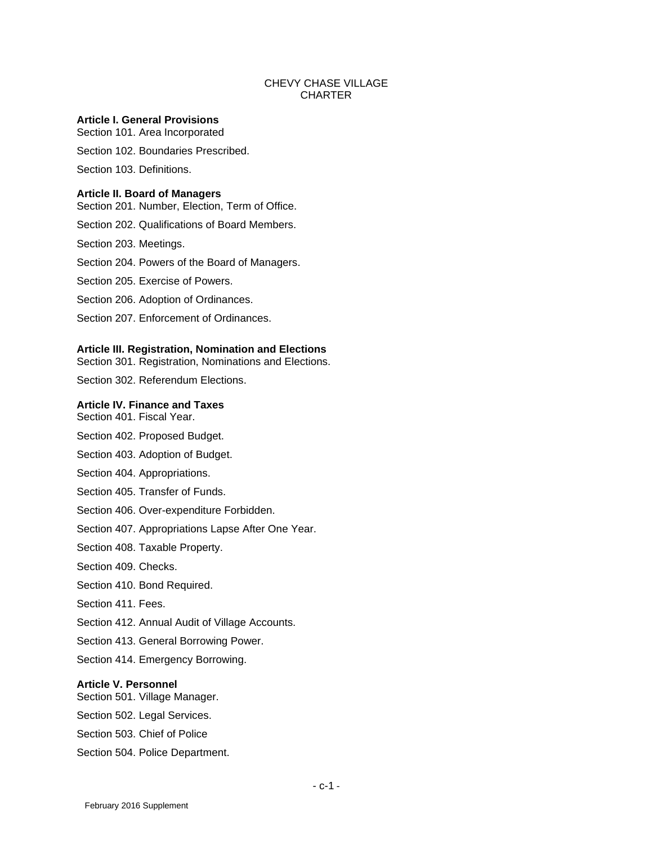# CHEVY CHASE VILLAGE **CHARTER**

# **Article I. General Provisions**

Section 101. Area Incorporated

Section 102. Boundaries Prescribed.

Section 103. Definitions.

#### **Article II. Board of Managers**

Section 201. Number, Election, Term of Office.

- Section 202. Qualifications of Board Members.
- Section 203. Meetings.
- Section 204. Powers of the Board of Managers.
- Section 205. Exercise of Powers.
- Section 206. Adoption of Ordinances.
- Section 207. Enforcement of Ordinances.

#### **Article III. Registration, Nomination and Elections**

Section 301. Registration, Nominations and Elections.

Section 302. Referendum Elections.

# **Article IV. Finance and Taxes**

- Section 401. Fiscal Year.
- Section 402. Proposed Budget.
- Section 403. Adoption of Budget.
- Section 404. Appropriations.
- Section 405. Transfer of Funds.
- Section 406. Over-expenditure Forbidden.
- Section 407. Appropriations Lapse After One Year.
- Section 408. Taxable Property.
- Section 409. Checks.
- Section 410. Bond Required.
- Section 411. Fees.
- Section 412. Annual Audit of Village Accounts.
- Section 413. General Borrowing Power.
- Section 414. Emergency Borrowing.

# **Article V. Personnel**

- Section 501. Village Manager.
- Section 502. Legal Services.
- Section 503. Chief of Police
- Section 504. Police Department.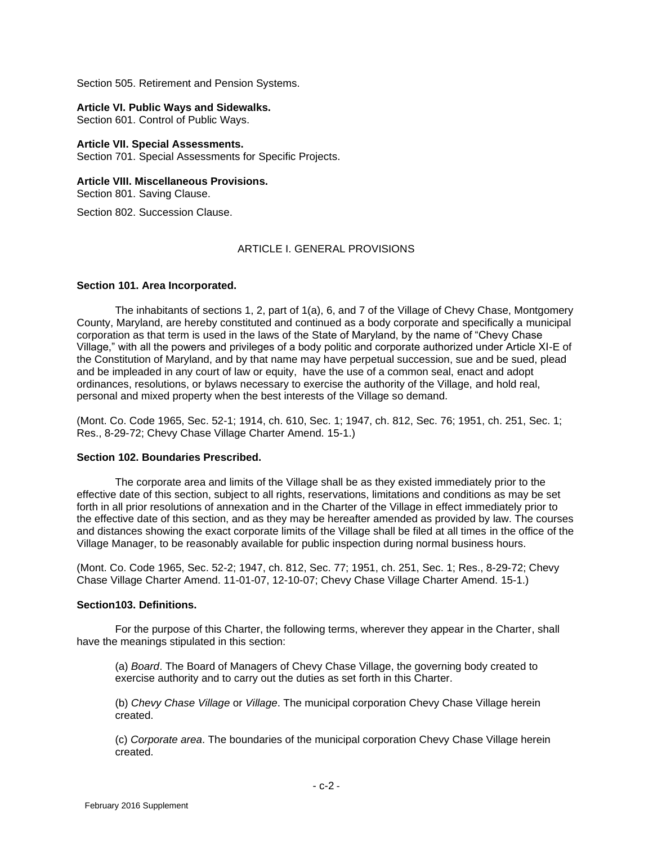Section 505. Retirement and Pension Systems.

#### **Article VI. Public Ways and Sidewalks.**

Section 601. Control of Public Ways.

### **Article VII. Special Assessments.**

Section 701. Special Assessments for Specific Projects.

### **Article VIII. Miscellaneous Provisions.**

Section 801. Saving Clause.

Section 802. Succession Clause.

# ARTICLE I. GENERAL PROVISIONS

# **Section 101. Area Incorporated.**

The inhabitants of sections 1, 2, part of 1(a), 6, and 7 of the Village of Chevy Chase, Montgomery County, Maryland, are hereby constituted and continued as a body corporate and specifically a municipal corporation as that term is used in the laws of the State of Maryland, by the name of "Chevy Chase Village," with all the powers and privileges of a body politic and corporate authorized under Article XI-E of the Constitution of Maryland, and by that name may have perpetual succession, sue and be sued, plead and be impleaded in any court of law or equity, have the use of a common seal, enact and adopt ordinances, resolutions, or bylaws necessary to exercise the authority of the Village, and hold real, personal and mixed property when the best interests of the Village so demand.

(Mont. Co. Code 1965, Sec. 52-1; 1914, ch. 610, Sec. 1; 1947, ch. 812, Sec. 76; 1951, ch. 251, Sec. 1; Res., 8-29-72; Chevy Chase Village Charter Amend. 15-1.)

# **Section 102. Boundaries Prescribed.**

The corporate area and limits of the Village shall be as they existed immediately prior to the effective date of this section, subject to all rights, reservations, limitations and conditions as may be set forth in all prior resolutions of annexation and in the Charter of the Village in effect immediately prior to the effective date of this section, and as they may be hereafter amended as provided by law. The courses and distances showing the exact corporate limits of the Village shall be filed at all times in the office of the Village Manager, to be reasonably available for public inspection during normal business hours.

(Mont. Co. Code 1965, Sec. 52-2; 1947, ch. 812, Sec. 77; 1951, ch. 251, Sec. 1; Res., 8-29-72; Chevy Chase Village Charter Amend. 11-01-07, 12-10-07; Chevy Chase Village Charter Amend. 15-1.)

# **Section103. Definitions.**

For the purpose of this Charter, the following terms, wherever they appear in the Charter, shall have the meanings stipulated in this section:

(a) *Board*. The Board of Managers of Chevy Chase Village, the governing body created to exercise authority and to carry out the duties as set forth in this Charter.

(b) *Chevy Chase Village* or *Village*. The municipal corporation Chevy Chase Village herein created.

(c) *Corporate area*. The boundaries of the municipal corporation Chevy Chase Village herein created.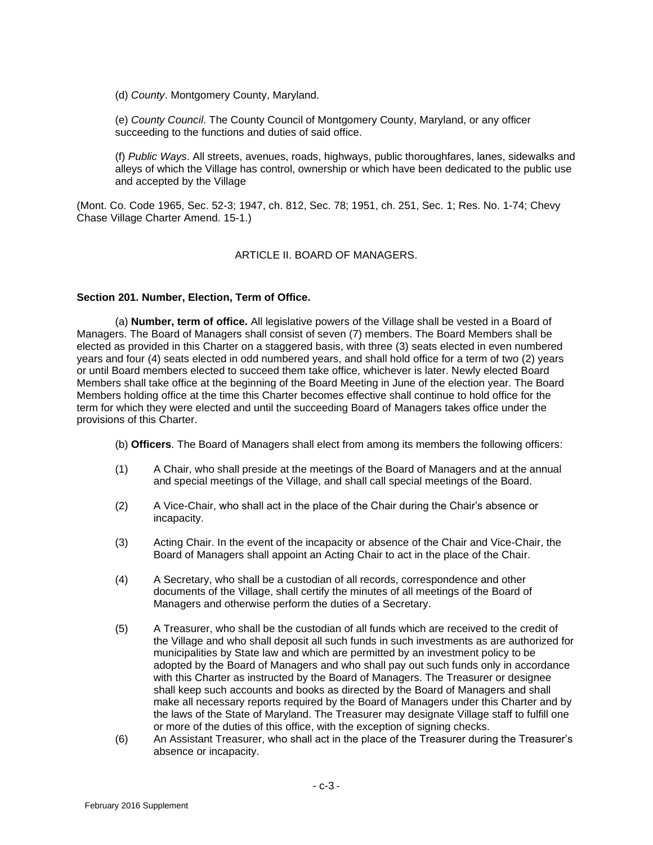(d) *County*. Montgomery County, Maryland.

(e) *County Council*. The County Council of Montgomery County, Maryland, or any officer succeeding to the functions and duties of said office.

(f) *Public Ways*. All streets, avenues, roads, highways, public thoroughfares, lanes, sidewalks and alleys of which the Village has control, ownership or which have been dedicated to the public use and accepted by the Village

(Mont. Co. Code 1965, Sec. 52-3; 1947, ch. 812, Sec. 78; 1951, ch. 251, Sec. 1; Res. No. 1-74; Chevy Chase Village Charter Amend. 15-1.)

# ARTICLE II. BOARD OF MANAGERS.

# **Section 201. Number, Election, Term of Office.**

(a) **Number, term of office.** All legislative powers of the Village shall be vested in a Board of Managers. The Board of Managers shall consist of seven (7) members. The Board Members shall be elected as provided in this Charter on a staggered basis, with three (3) seats elected in even numbered years and four (4) seats elected in odd numbered years, and shall hold office for a term of two (2) years or until Board members elected to succeed them take office, whichever is later. Newly elected Board Members shall take office at the beginning of the Board Meeting in June of the election year. The Board Members holding office at the time this Charter becomes effective shall continue to hold office for the term for which they were elected and until the succeeding Board of Managers takes office under the provisions of this Charter.

(b) **Officers**. The Board of Managers shall elect from among its members the following officers:

- (1) A Chair, who shall preside at the meetings of the Board of Managers and at the annual and special meetings of the Village, and shall call special meetings of the Board.
- (2) A Vice-Chair, who shall act in the place of the Chair during the Chair's absence or incapacity.
- (3) Acting Chair. In the event of the incapacity or absence of the Chair and Vice-Chair, the Board of Managers shall appoint an Acting Chair to act in the place of the Chair.
- (4) A Secretary, who shall be a custodian of all records, correspondence and other documents of the Village, shall certify the minutes of all meetings of the Board of Managers and otherwise perform the duties of a Secretary.
- (5) A Treasurer, who shall be the custodian of all funds which are received to the credit of the Village and who shall deposit all such funds in such investments as are authorized for municipalities by State law and which are permitted by an investment policy to be adopted by the Board of Managers and who shall pay out such funds only in accordance with this Charter as instructed by the Board of Managers. The Treasurer or designee shall keep such accounts and books as directed by the Board of Managers and shall make all necessary reports required by the Board of Managers under this Charter and by the laws of the State of Maryland. The Treasurer may designate Village staff to fulfill one or more of the duties of this office, with the exception of signing checks.
- (6) An Assistant Treasurer, who shall act in the place of the Treasurer during the Treasurer's absence or incapacity.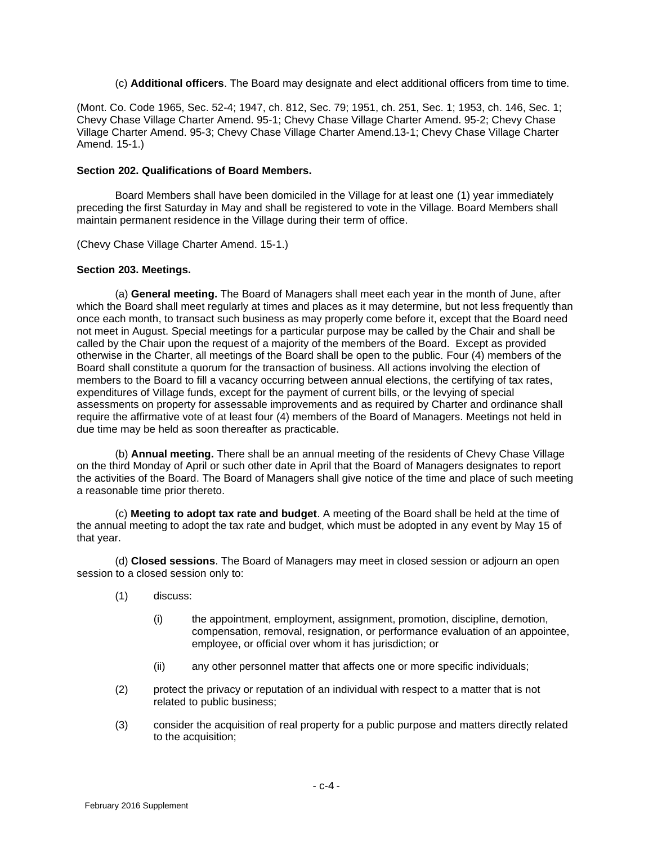### (c) **Additional officers**. The Board may designate and elect additional officers from time to time.

(Mont. Co. Code 1965, Sec. 52-4; 1947, ch. 812, Sec. 79; 1951, ch. 251, Sec. 1; 1953, ch. 146, Sec. 1; Chevy Chase Village Charter Amend. 95-1; Chevy Chase Village Charter Amend. 95-2; Chevy Chase Village Charter Amend. 95-3; Chevy Chase Village Charter Amend.13-1; Chevy Chase Village Charter Amend. 15-1.)

# **Section 202. Qualifications of Board Members.**

Board Members shall have been domiciled in the Village for at least one (1) year immediately preceding the first Saturday in May and shall be registered to vote in the Village. Board Members shall maintain permanent residence in the Village during their term of office.

(Chevy Chase Village Charter Amend. 15-1.)

# **Section 203. Meetings.**

(a) **General meeting.** The Board of Managers shall meet each year in the month of June, after which the Board shall meet regularly at times and places as it may determine, but not less frequently than once each month, to transact such business as may properly come before it, except that the Board need not meet in August. Special meetings for a particular purpose may be called by the Chair and shall be called by the Chair upon the request of a majority of the members of the Board. Except as provided otherwise in the Charter, all meetings of the Board shall be open to the public. Four (4) members of the Board shall constitute a quorum for the transaction of business. All actions involving the election of members to the Board to fill a vacancy occurring between annual elections, the certifying of tax rates, expenditures of Village funds, except for the payment of current bills, or the levying of special assessments on property for assessable improvements and as required by Charter and ordinance shall require the affirmative vote of at least four (4) members of the Board of Managers. Meetings not held in due time may be held as soon thereafter as practicable.

(b) **Annual meeting.** There shall be an annual meeting of the residents of Chevy Chase Village on the third Monday of April or such other date in April that the Board of Managers designates to report the activities of the Board. The Board of Managers shall give notice of the time and place of such meeting a reasonable time prior thereto.

(c) **Meeting to adopt tax rate and budget**. A meeting of the Board shall be held at the time of the annual meeting to adopt the tax rate and budget, which must be adopted in any event by May 15 of that year.

(d) **Closed sessions**. The Board of Managers may meet in closed session or adjourn an open session to a closed session only to:

- (1) discuss:
	- (i) the appointment, employment, assignment, promotion, discipline, demotion, compensation, removal, resignation, or performance evaluation of an appointee, employee, or official over whom it has jurisdiction; or
	- (ii) any other personnel matter that affects one or more specific individuals;
- (2) protect the privacy or reputation of an individual with respect to a matter that is not related to public business;
- (3) consider the acquisition of real property for a public purpose and matters directly related to the acquisition;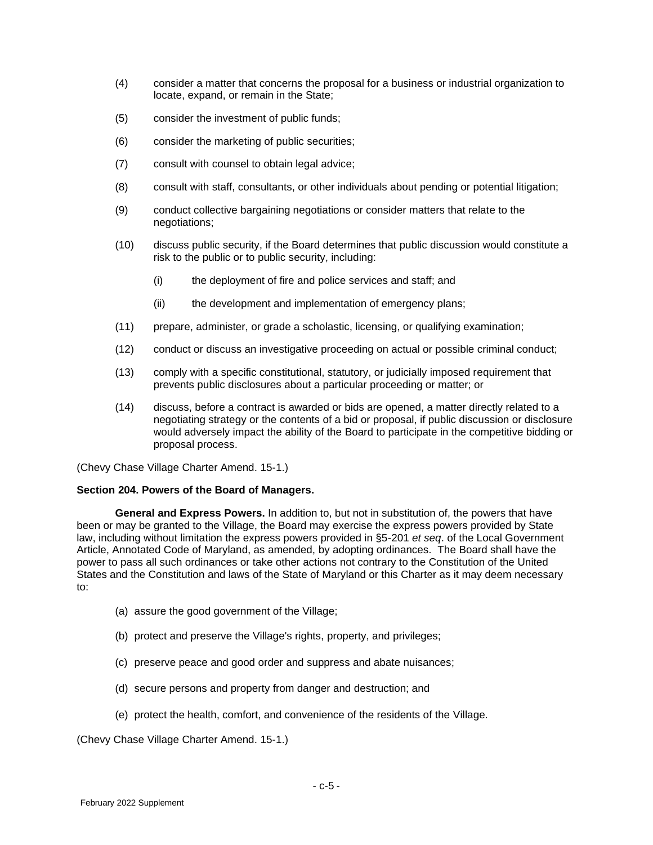- (4) consider a matter that concerns the proposal for a business or industrial organization to locate, expand, or remain in the State;
- (5) consider the investment of public funds;
- (6) consider the marketing of public securities;
- (7) consult with counsel to obtain legal advice;
- (8) consult with staff, consultants, or other individuals about pending or potential litigation;
- (9) conduct collective bargaining negotiations or consider matters that relate to the negotiations;
- (10) discuss public security, if the Board determines that public discussion would constitute a risk to the public or to public security, including:
	- (i) the deployment of fire and police services and staff; and
	- (ii) the development and implementation of emergency plans;
- (11) prepare, administer, or grade a scholastic, licensing, or qualifying examination;
- (12) conduct or discuss an investigative proceeding on actual or possible criminal conduct;
- (13) comply with a specific constitutional, statutory, or judicially imposed requirement that prevents public disclosures about a particular proceeding or matter; or
- (14) discuss, before a contract is awarded or bids are opened, a matter directly related to a negotiating strategy or the contents of a bid or proposal, if public discussion or disclosure would adversely impact the ability of the Board to participate in the competitive bidding or proposal process.

(Chevy Chase Village Charter Amend. 15-1.)

#### **Section 204. Powers of the Board of Managers.**

**General and Express Powers.** In addition to, but not in substitution of, the powers that have been or may be granted to the Village, the Board may exercise the express powers provided by State law, including without limitation the express powers provided in §5-201 *et seq*. of the Local Government Article, Annotated Code of Maryland, as amended, by adopting ordinances. The Board shall have the power to pass all such ordinances or take other actions not contrary to the Constitution of the United States and the Constitution and laws of the State of Maryland or this Charter as it may deem necessary to:

- (a) assure the good government of the Village;
- (b) protect and preserve the Village's rights, property, and privileges;
- (c) preserve peace and good order and suppress and abate nuisances;
- (d) secure persons and property from danger and destruction; and
- (e) protect the health, comfort, and convenience of the residents of the Village.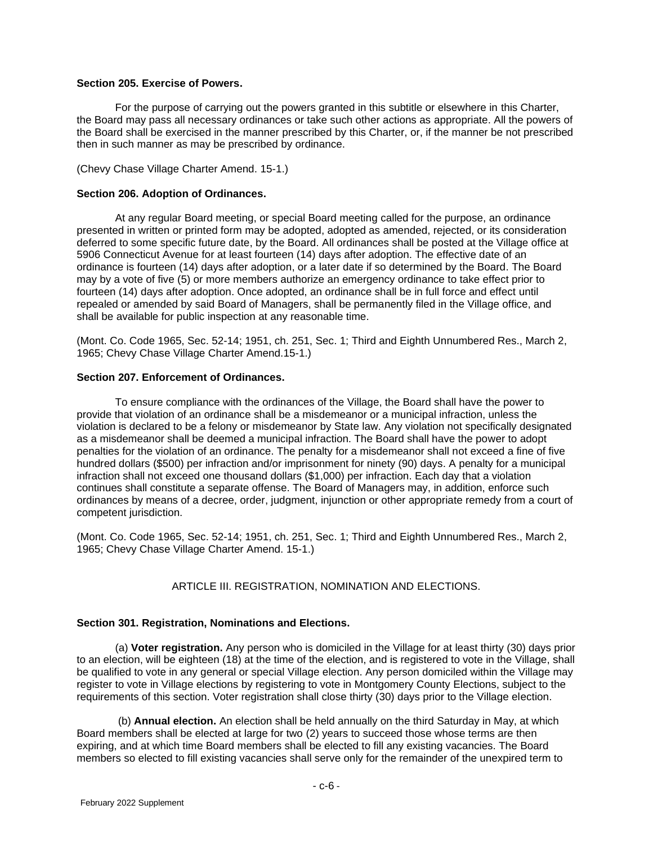# **Section 205. Exercise of Powers.**

For the purpose of carrying out the powers granted in this subtitle or elsewhere in this Charter, the Board may pass all necessary ordinances or take such other actions as appropriate. All the powers of the Board shall be exercised in the manner prescribed by this Charter, or, if the manner be not prescribed then in such manner as may be prescribed by ordinance.

(Chevy Chase Village Charter Amend. 15-1.)

# **Section 206. Adoption of Ordinances.**

At any regular Board meeting, or special Board meeting called for the purpose, an ordinance presented in written or printed form may be adopted, adopted as amended, rejected, or its consideration deferred to some specific future date, by the Board. All ordinances shall be posted at the Village office at 5906 Connecticut Avenue for at least fourteen (14) days after adoption. The effective date of an ordinance is fourteen (14) days after adoption, or a later date if so determined by the Board. The Board may by a vote of five (5) or more members authorize an emergency ordinance to take effect prior to fourteen (14) days after adoption. Once adopted, an ordinance shall be in full force and effect until repealed or amended by said Board of Managers, shall be permanently filed in the Village office, and shall be available for public inspection at any reasonable time.

(Mont. Co. Code 1965, Sec. 52-14; 1951, ch. 251, Sec. 1; Third and Eighth Unnumbered Res., March 2, 1965; Chevy Chase Village Charter Amend.15-1.)

# **Section 207. Enforcement of Ordinances.**

To ensure compliance with the ordinances of the Village, the Board shall have the power to provide that violation of an ordinance shall be a misdemeanor or a municipal infraction, unless the violation is declared to be a felony or misdemeanor by State law. Any violation not specifically designated as a misdemeanor shall be deemed a municipal infraction. The Board shall have the power to adopt penalties for the violation of an ordinance. The penalty for a misdemeanor shall not exceed a fine of five hundred dollars (\$500) per infraction and/or imprisonment for ninety (90) days. A penalty for a municipal infraction shall not exceed one thousand dollars (\$1,000) per infraction. Each day that a violation continues shall constitute a separate offense. The Board of Managers may, in addition, enforce such ordinances by means of a decree, order, judgment, injunction or other appropriate remedy from a court of competent jurisdiction.

(Mont. Co. Code 1965, Sec. 52-14; 1951, ch. 251, Sec. 1; Third and Eighth Unnumbered Res., March 2, 1965; Chevy Chase Village Charter Amend. 15-1.)

# ARTICLE III. REGISTRATION, NOMINATION AND ELECTIONS.

# **Section 301. Registration, Nominations and Elections.**

(a) **Voter registration.** Any person who is domiciled in the Village for at least thirty (30) days prior to an election, will be eighteen (18) at the time of the election, and is registered to vote in the Village, shall be qualified to vote in any general or special Village election. Any person domiciled within the Village may register to vote in Village elections by registering to vote in Montgomery County Elections, subject to the requirements of this section. Voter registration shall close thirty (30) days prior to the Village election.

(b) **Annual election.** An election shall be held annually on the third Saturday in May, at which Board members shall be elected at large for two (2) years to succeed those whose terms are then expiring, and at which time Board members shall be elected to fill any existing vacancies. The Board members so elected to fill existing vacancies shall serve only for the remainder of the unexpired term to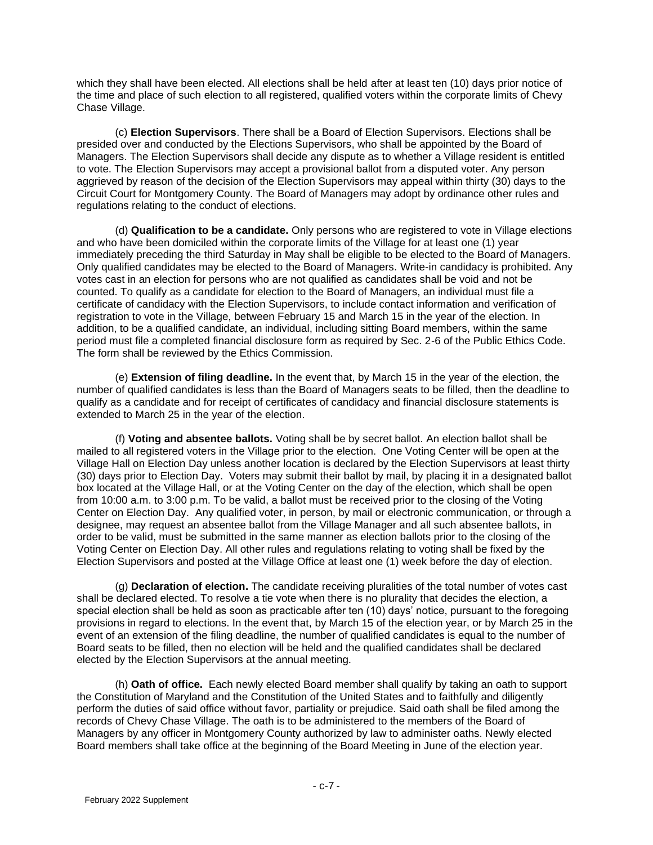which they shall have been elected. All elections shall be held after at least ten (10) days prior notice of the time and place of such election to all registered, qualified voters within the corporate limits of Chevy Chase Village.

(c) **Election Supervisors**. There shall be a Board of Election Supervisors. Elections shall be presided over and conducted by the Elections Supervisors, who shall be appointed by the Board of Managers. The Election Supervisors shall decide any dispute as to whether a Village resident is entitled to vote. The Election Supervisors may accept a provisional ballot from a disputed voter. Any person aggrieved by reason of the decision of the Election Supervisors may appeal within thirty (30) days to the Circuit Court for Montgomery County. The Board of Managers may adopt by ordinance other rules and regulations relating to the conduct of elections.

(d) **Qualification to be a candidate.** Only persons who are registered to vote in Village elections and who have been domiciled within the corporate limits of the Village for at least one (1) year immediately preceding the third Saturday in May shall be eligible to be elected to the Board of Managers. Only qualified candidates may be elected to the Board of Managers. Write-in candidacy is prohibited. Any votes cast in an election for persons who are not qualified as candidates shall be void and not be counted. To qualify as a candidate for election to the Board of Managers, an individual must file a certificate of candidacy with the Election Supervisors, to include contact information and verification of registration to vote in the Village, between February 15 and March 15 in the year of the election. In addition, to be a qualified candidate, an individual, including sitting Board members, within the same period must file a completed financial disclosure form as required by Sec. 2-6 of the Public Ethics Code. The form shall be reviewed by the Ethics Commission.

(e) **Extension of filing deadline.** In the event that, by March 15 in the year of the election, the number of qualified candidates is less than the Board of Managers seats to be filled, then the deadline to qualify as a candidate and for receipt of certificates of candidacy and financial disclosure statements is extended to March 25 in the year of the election.

(f) **Voting and absentee ballots.** Voting shall be by secret ballot. An election ballot shall be mailed to all registered voters in the Village prior to the election. One Voting Center will be open at the Village Hall on Election Day unless another location is declared by the Election Supervisors at least thirty (30) days prior to Election Day. Voters may submit their ballot by mail, by placing it in a designated ballot box located at the Village Hall, or at the Voting Center on the day of the election, which shall be open from 10:00 a.m. to 3:00 p.m. To be valid, a ballot must be received prior to the closing of the Voting Center on Election Day. Any qualified voter, in person, by mail or electronic communication, or through a designee, may request an absentee ballot from the Village Manager and all such absentee ballots, in order to be valid, must be submitted in the same manner as election ballots prior to the closing of the Voting Center on Election Day. All other rules and regulations relating to voting shall be fixed by the Election Supervisors and posted at the Village Office at least one (1) week before the day of election.

(g) **Declaration of election.** The candidate receiving pluralities of the total number of votes cast shall be declared elected. To resolve a tie vote when there is no plurality that decides the election, a special election shall be held as soon as practicable after ten (10) days' notice, pursuant to the foregoing provisions in regard to elections. In the event that, by March 15 of the election year, or by March 25 in the event of an extension of the filing deadline, the number of qualified candidates is equal to the number of Board seats to be filled, then no election will be held and the qualified candidates shall be declared elected by the Election Supervisors at the annual meeting.

(h) **Oath of office.** Each newly elected Board member shall qualify by taking an oath to support the Constitution of Maryland and the Constitution of the United States and to faithfully and diligently perform the duties of said office without favor, partiality or prejudice. Said oath shall be filed among the records of Chevy Chase Village. The oath is to be administered to the members of the Board of Managers by any officer in Montgomery County authorized by law to administer oaths. Newly elected Board members shall take office at the beginning of the Board Meeting in June of the election year.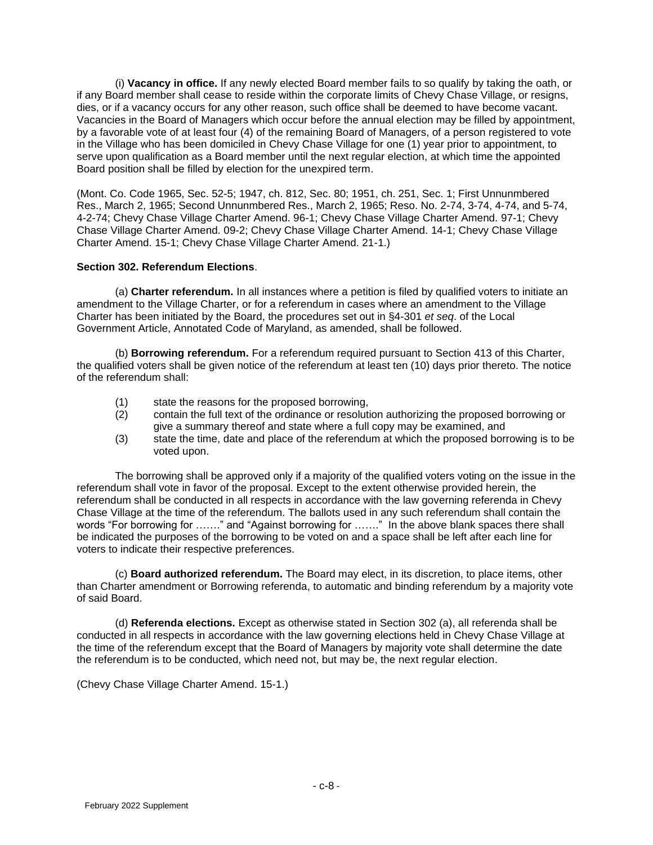(i) Remarks The Marks Internal member fails to so qualify by taking the continue of the sound of the so qualify by taking the cash, and the back of Marks Internal member fails to so qualify by taking the oath Board Marks I if any Board member shall cease to reside within the corporate limits of Chevy Chase Village, or resigns, dies, or if a vacancy occurs for any other reason, such office shall be deemed to have become vacant. Vacancies in the Board of Managers which occur before the annual election may be filled by appointment, by a favorable vote of at least four (4) of the remaining Board of Managers, of a person registered to vote in the Village who has been domiciled in Chevy Chase Village for one (1) year prior to appointment, to serve upon qualification as a Board member until the next regular election, at which time the appointed Board position shall be filled by election for the unexpired term.

(Mont. Co. Code 1965, Sec. 52-5; 1947, ch. 812, Sec. 80; 1951, ch. 251, Sec. 1; First Unnunmbered Res., March 2, 1965; Second Unnunmbered Res., March 2, 1965; Reso. No. 2-74, 3-74, 4-74, and 5-74, 4-2-74; Chevy Chase Village Charter Amend. 96-1; Chevy Chase Village Charter Amend. 97-1; Chevy Chase Village Charter Amend. 09-2; Chevy Chase Village Charter Amend. 14-1; Chevy Chase Village Charter Amend. 15-1; Chevy Chase Village Charter Amend. 21-1.)

# **Section 302. Referendum Elections**.

(a) **Charter referendum.** In all instances where a petition is filed by qualified voters to initiate an amendment to the Village Charter, or for a referendum in cases where an amendment to the Village Charter has been initiated by the Board, the procedures set out in §4-301 *et seq*. of the Local Government Article, Annotated Code of Maryland, as amended, shall be followed.

(b) **Borrowing referendum.** For a referendum required pursuant to Section 413 of this Charter, the qualified voters shall be given notice of the referendum at least ten (10) days prior thereto. The notice of the referendum shall:

- (1) state the reasons for the proposed borrowing,
- (2) contain the full text of the ordinance or resolution authorizing the proposed borrowing or give a summary thereof and state where a full copy may be examined, and
- (3) state the time, date and place of the referendum at which the proposed borrowing is to be voted upon.

The borrowing shall be approved only if a majority of the qualified voters voting on the issue in the referendum shall vote in favor of the proposal. Except to the extent otherwise provided herein, the referendum shall be conducted in all respects in accordance with the law governing referenda in Chevy Chase Village at the time of the referendum. The ballots used in any such referendum shall contain the words "For borrowing for ……." and "Against borrowing for ……." In the above blank spaces there shall be indicated the purposes of the borrowing to be voted on and a space shall be left after each line for voters to indicate their respective preferences.

(c) **Board authorized referendum.** The Board may elect, in its discretion, to place items, other than Charter amendment or Borrowing referenda, to automatic and binding referendum by a majority vote of said Board.

(d) **Referenda elections.** Except as otherwise stated in Section 302 (a), all referenda shall be conducted in all respects in accordance with the law governing elections held in Chevy Chase Village at the time of the referendum except that the Board of Managers by majority vote shall determine the date the referendum is to be conducted, which need not, but may be, the next regular election.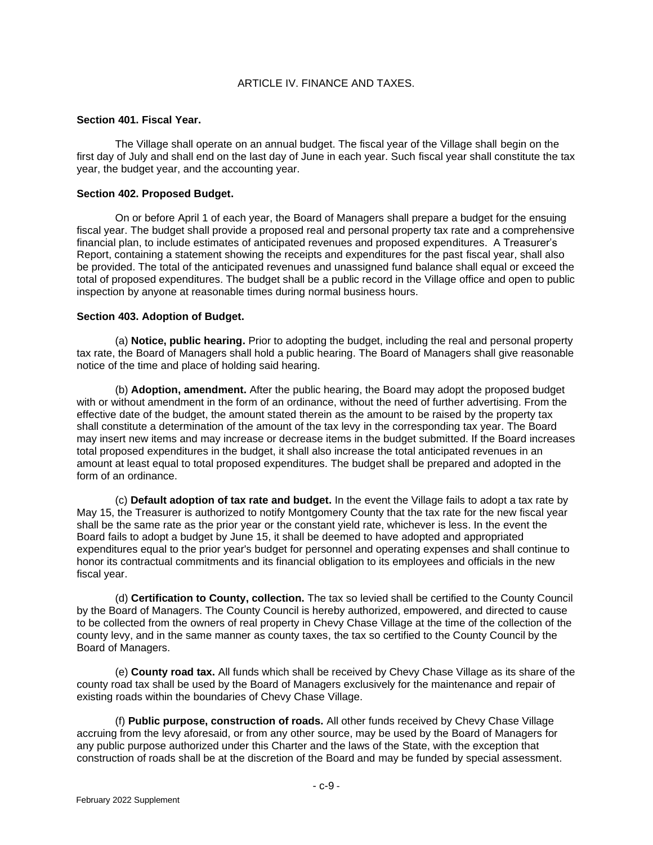# ARTICLE IV. FINANCE AND TAXES.

### **Section 401. Fiscal Year.**

The Village shall operate on an annual budget. The fiscal year of the Village shall begin on the first day of July and shall end on the last day of June in each year. Such fiscal year shall constitute the tax year, the budget year, and the accounting year.

# **Section 402. Proposed Budget.**

On or before April 1 of each year, the Board of Managers shall prepare a budget for the ensuing fiscal year. The budget shall provide a proposed real and personal property tax rate and a comprehensive financial plan, to include estimates of anticipated revenues and proposed expenditures. A Treasurer's Report, containing a statement showing the receipts and expenditures for the past fiscal year, shall also be provided. The total of the anticipated revenues and unassigned fund balance shall equal or exceed the total of proposed expenditures. The budget shall be a public record in the Village office and open to public inspection by anyone at reasonable times during normal business hours.

# **Section 403. Adoption of Budget.**

(a) **Notice, public hearing.** Prior to adopting the budget, including the real and personal property tax rate, the Board of Managers shall hold a public hearing. The Board of Managers shall give reasonable notice of the time and place of holding said hearing.

(b) **Adoption, amendment.** After the public hearing, the Board may adopt the proposed budget with or without amendment in the form of an ordinance, without the need of further advertising. From the effective date of the budget, the amount stated therein as the amount to be raised by the property tax shall constitute a determination of the amount of the tax levy in the corresponding tax year. The Board may insert new items and may increase or decrease items in the budget submitted. If the Board increases total proposed expenditures in the budget, it shall also increase the total anticipated revenues in an amount at least equal to total proposed expenditures. The budget shall be prepared and adopted in the form of an ordinance.

(c) **Default adoption of tax rate and budget.** In the event the Village fails to adopt a tax rate by May 15, the Treasurer is authorized to notify Montgomery County that the tax rate for the new fiscal year shall be the same rate as the prior year or the constant yield rate, whichever is less. In the event the Board fails to adopt a budget by June 15, it shall be deemed to have adopted and appropriated expenditures equal to the prior year's budget for personnel and operating expenses and shall continue to honor its contractual commitments and its financial obligation to its employees and officials in the new fiscal year.

(d) **Certification to County, collection.** The tax so levied shall be certified to the County Council by the Board of Managers. The County Council is hereby authorized, empowered, and directed to cause to be collected from the owners of real property in Chevy Chase Village at the time of the collection of the county levy, and in the same manner as county taxes, the tax so certified to the County Council by the Board of Managers.

(e) **County road tax.** All funds which shall be received by Chevy Chase Village as its share of the county road tax shall be used by the Board of Managers exclusively for the maintenance and repair of existing roads within the boundaries of Chevy Chase Village.

(f) **Public purpose, construction of roads.** All other funds received by Chevy Chase Village accruing from the levy aforesaid, or from any other source, may be used by the Board of Managers for any public purpose authorized under this Charter and the laws of the State, with the exception that construction of roads shall be at the discretion of the Board and may be funded by special assessment.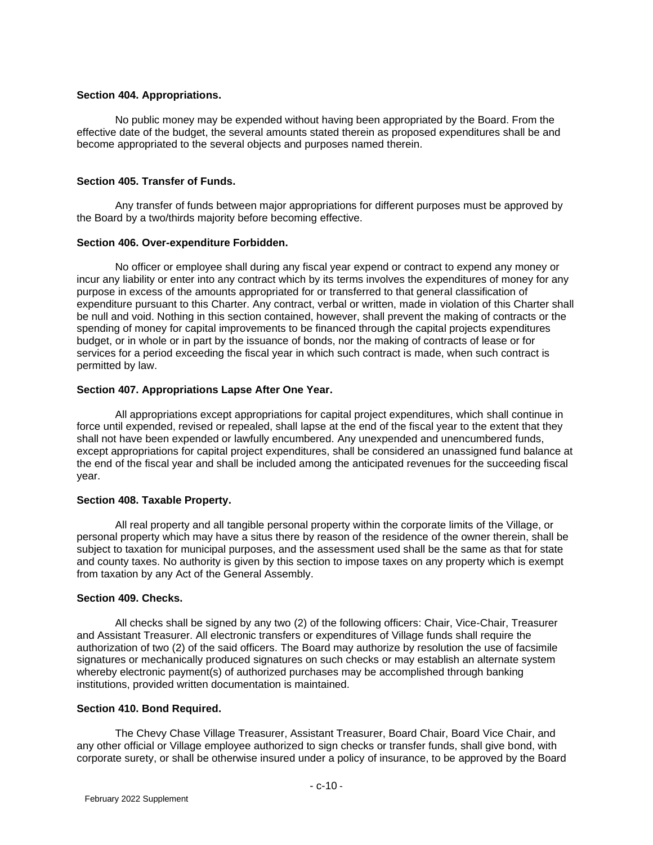### **Section 404. Appropriations.**

No public money may be expended without having been appropriated by the Board. From the effective date of the budget, the several amounts stated therein as proposed expenditures shall be and become appropriated to the several objects and purposes named therein.

# **Section 405. Transfer of Funds.**

Any transfer of funds between major appropriations for different purposes must be approved by the Board by a two/thirds majority before becoming effective.

#### **Section 406. Over-expenditure Forbidden.**

No officer or employee shall during any fiscal year expend or contract to expend any money or incur any liability or enter into any contract which by its terms involves the expenditures of money for any purpose in excess of the amounts appropriated for or transferred to that general classification of expenditure pursuant to this Charter. Any contract, verbal or written, made in violation of this Charter shall be null and void. Nothing in this section contained, however, shall prevent the making of contracts or the spending of money for capital improvements to be financed through the capital projects expenditures budget, or in whole or in part by the issuance of bonds, nor the making of contracts of lease or for services for a period exceeding the fiscal year in which such contract is made, when such contract is permitted by law.

#### **Section 407. Appropriations Lapse After One Year.**

All appropriations except appropriations for capital project expenditures, which shall continue in force until expended, revised or repealed, shall lapse at the end of the fiscal year to the extent that they shall not have been expended or lawfully encumbered. Any unexpended and unencumbered funds, except appropriations for capital project expenditures, shall be considered an unassigned fund balance at the end of the fiscal year and shall be included among the anticipated revenues for the succeeding fiscal year.

#### **Section 408. Taxable Property.**

All real property and all tangible personal property within the corporate limits of the Village, or personal property which may have a situs there by reason of the residence of the owner therein, shall be subject to taxation for municipal purposes, and the assessment used shall be the same as that for state and county taxes. No authority is given by this section to impose taxes on any property which is exempt from taxation by any Act of the General Assembly.

# **Section 409. Checks.**

All checks shall be signed by any two (2) of the following officers: Chair, Vice-Chair, Treasurer and Assistant Treasurer. All electronic transfers or expenditures of Village funds shall require the authorization of two (2) of the said officers. The Board may authorize by resolution the use of facsimile signatures or mechanically produced signatures on such checks or may establish an alternate system whereby electronic payment(s) of authorized purchases may be accomplished through banking institutions, provided written documentation is maintained.

### **Section 410. Bond Required.**

The Chevy Chase Village Treasurer, Assistant Treasurer, Board Chair, Board Vice Chair, and any other official or Village employee authorized to sign checks or transfer funds, shall give bond, with corporate surety, or shall be otherwise insured under a policy of insurance, to be approved by the Board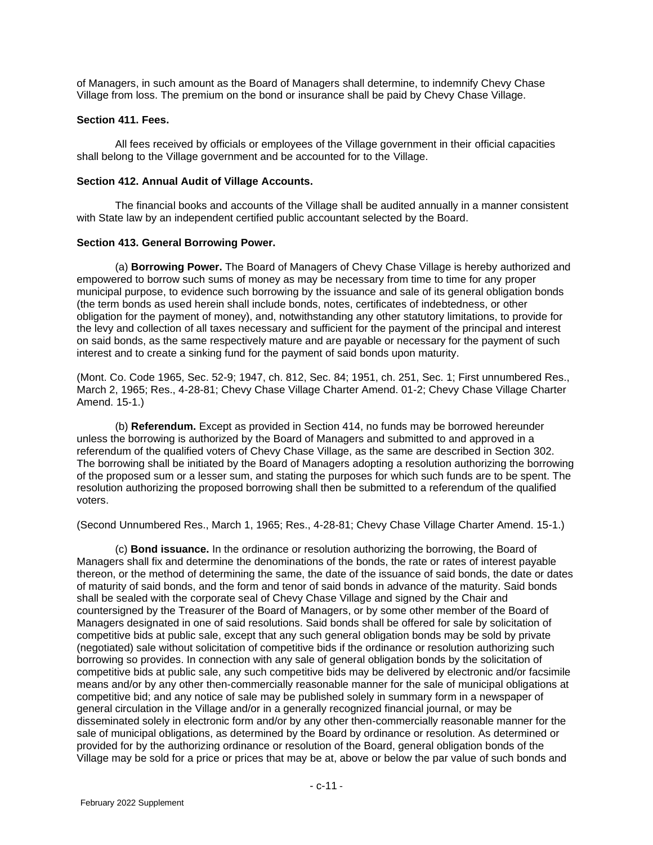of Managers, in such amount as the Board of Managers shall determine, to indemnify Chevy Chase Village from loss. The premium on the bond or insurance shall be paid by Chevy Chase Village.

### **Section 411. Fees.**

All fees received by officials or employees of the Village government in their official capacities shall belong to the Village government and be accounted for to the Village.

#### **Section 412. Annual Audit of Village Accounts.**

The financial books and accounts of the Village shall be audited annually in a manner consistent with State law by an independent certified public accountant selected by the Board.

#### **Section 413. General Borrowing Power.**

(a) **Borrowing Power.** The Board of Managers of Chevy Chase Village is hereby authorized and empowered to borrow such sums of money as may be necessary from time to time for any proper municipal purpose, to evidence such borrowing by the issuance and sale of its general obligation bonds (the term bonds as used herein shall include bonds, notes, certificates of indebtedness, or other obligation for the payment of money), and, notwithstanding any other statutory limitations, to provide for the levy and collection of all taxes necessary and sufficient for the payment of the principal and interest on said bonds, as the same respectively mature and are payable or necessary for the payment of such interest and to create a sinking fund for the payment of said bonds upon maturity.

(Mont. Co. Code 1965, Sec. 52-9; 1947, ch. 812, Sec. 84; 1951, ch. 251, Sec. 1; First unnumbered Res., March 2, 1965; Res., 4-28-81; Chevy Chase Village Charter Amend. 01-2; Chevy Chase Village Charter Amend. 15-1.)

(b) **Referendum.** Except as provided in Section 414, no funds may be borrowed hereunder unless the borrowing is authorized by the Board of Managers and submitted to and approved in a referendum of the qualified voters of Chevy Chase Village, as the same are described in Section 302. The borrowing shall be initiated by the Board of Managers adopting a resolution authorizing the borrowing of the proposed sum or a lesser sum, and stating the purposes for which such funds are to be spent. The resolution authorizing the proposed borrowing shall then be submitted to a referendum of the qualified voters.

(Second Unnumbered Res., March 1, 1965; Res., 4-28-81; Chevy Chase Village Charter Amend. 15-1.)

(c) **Bond issuance.** In the ordinance or resolution authorizing the borrowing, the Board of Managers shall fix and determine the denominations of the bonds, the rate or rates of interest payable thereon, or the method of determining the same, the date of the issuance of said bonds, the date or dates of maturity of said bonds, and the form and tenor of said bonds in advance of the maturity. Said bonds shall be sealed with the corporate seal of Chevy Chase Village and signed by the Chair and countersigned by the Treasurer of the Board of Managers, or by some other member of the Board of Managers designated in one of said resolutions. Said bonds shall be offered for sale by solicitation of competitive bids at public sale, except that any such general obligation bonds may be sold by private (negotiated) sale without solicitation of competitive bids if the ordinance or resolution authorizing such borrowing so provides. In connection with any sale of general obligation bonds by the solicitation of competitive bids at public sale, any such competitive bids may be delivered by electronic and/or facsimile means and/or by any other then-commercially reasonable manner for the sale of municipal obligations at competitive bid; and any notice of sale may be published solely in summary form in a newspaper of general circulation in the Village and/or in a generally recognized financial journal, or may be disseminated solely in electronic form and/or by any other then-commercially reasonable manner for the sale of municipal obligations, as determined by the Board by ordinance or resolution. As determined or provided for by the authorizing ordinance or resolution of the Board, general obligation bonds of the Village may be sold for a price or prices that may be at, above or below the par value of such bonds and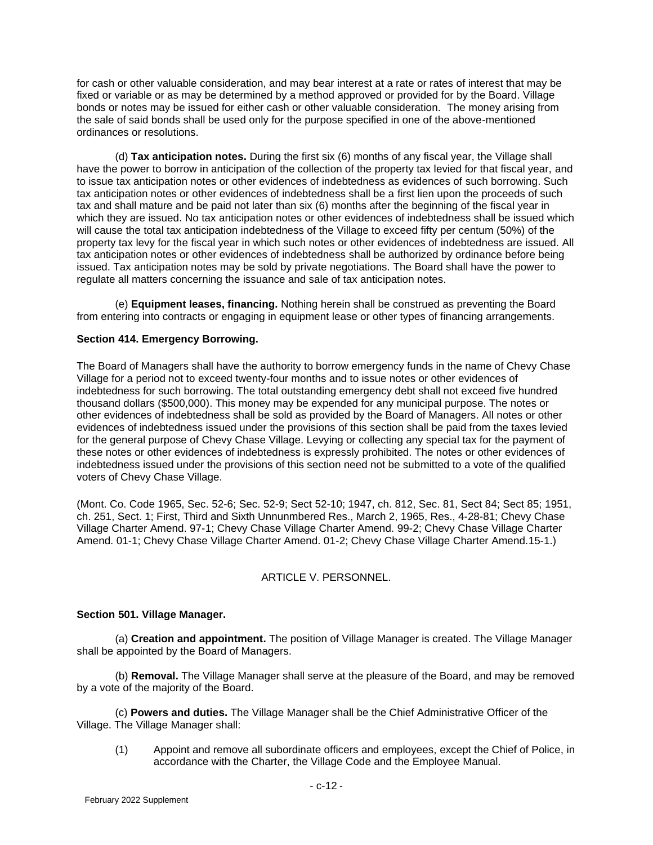for cash or other valuable consideration, and may bear interest at a rate or rates of interest that may be fixed or variable or as may be determined by a method approved or provided for by the Board. Village bonds or notes may be issued for either cash or other valuable consideration. The money arising from the sale of said bonds shall be used only for the purpose specified in one of the above-mentioned ordinances or resolutions.

(d) **Tax anticipation notes.** During the first six (6) months of any fiscal year, the Village shall have the power to borrow in anticipation of the collection of the property tax levied for that fiscal year, and to issue tax anticipation notes or other evidences of indebtedness as evidences of such borrowing. Such tax anticipation notes or other evidences of indebtedness shall be a first lien upon the proceeds of such tax and shall mature and be paid not later than six (6) months after the beginning of the fiscal year in which they are issued. No tax anticipation notes or other evidences of indebtedness shall be issued which will cause the total tax anticipation indebtedness of the Village to exceed fifty per centum (50%) of the property tax levy for the fiscal year in which such notes or other evidences of indebtedness are issued. All tax anticipation notes or other evidences of indebtedness shall be authorized by ordinance before being issued. Tax anticipation notes may be sold by private negotiations. The Board shall have the power to regulate all matters concerning the issuance and sale of tax anticipation notes.

(e) **Equipment leases, financing.** Nothing herein shall be construed as preventing the Board from entering into contracts or engaging in equipment lease or other types of financing arrangements.

# **Section 414. Emergency Borrowing.**

The Board of Managers shall have the authority to borrow emergency funds in the name of Chevy Chase Village for a period not to exceed twenty-four months and to issue notes or other evidences of indebtedness for such borrowing. The total outstanding emergency debt shall not exceed five hundred thousand dollars (\$500,000). This money may be expended for any municipal purpose. The notes or other evidences of indebtedness shall be sold as provided by the Board of Managers. All notes or other evidences of indebtedness issued under the provisions of this section shall be paid from the taxes levied for the general purpose of Chevy Chase Village. Levying or collecting any special tax for the payment of these notes or other evidences of indebtedness is expressly prohibited. The notes or other evidences of indebtedness issued under the provisions of this section need not be submitted to a vote of the qualified voters of Chevy Chase Village.

(Mont. Co. Code 1965, Sec. 52-6; Sec. 52-9; Sect 52-10; 1947, ch. 812, Sec. 81, Sect 84; Sect 85; 1951, ch. 251, Sect. 1; First, Third and Sixth Unnunmbered Res., March 2, 1965, Res., 4-28-81; Chevy Chase Village Charter Amend. 97-1; Chevy Chase Village Charter Amend. 99-2; Chevy Chase Village Charter Amend. 01-1; Chevy Chase Village Charter Amend. 01-2; Chevy Chase Village Charter Amend.15-1.)

# ARTICLE V. PERSONNEL.

# **Section 501. Village Manager.**

(a) **Creation and appointment.** The position of Village Manager is created. The Village Manager shall be appointed by the Board of Managers.

(b) **Removal.** The Village Manager shall serve at the pleasure of the Board, and may be removed by a vote of the majority of the Board.

(c) **Powers and duties.** The Village Manager shall be the Chief Administrative Officer of the Village. The Village Manager shall:

(1) Appoint and remove all subordinate officers and employees, except the Chief of Police, in accordance with the Charter, the Village Code and the Employee Manual.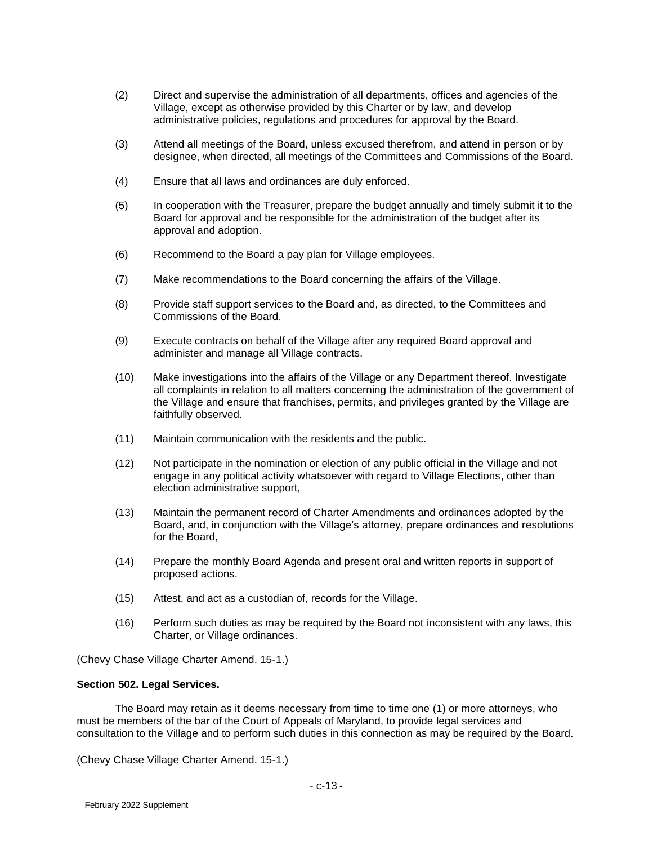- (2) Direct and supervise the administration of all departments, offices and agencies of the Village, except as otherwise provided by this Charter or by law, and develop administrative policies, regulations and procedures for approval by the Board.
- (3) Attend all meetings of the Board, unless excused therefrom, and attend in person or by designee, when directed, all meetings of the Committees and Commissions of the Board.
- (4) Ensure that all laws and ordinances are duly enforced.
- (5) In cooperation with the Treasurer, prepare the budget annually and timely submit it to the Board for approval and be responsible for the administration of the budget after its approval and adoption.
- (6) Recommend to the Board a pay plan for Village employees.
- (7) Make recommendations to the Board concerning the affairs of the Village.
- (8) Provide staff support services to the Board and, as directed, to the Committees and Commissions of the Board.
- (9) Execute contracts on behalf of the Village after any required Board approval and administer and manage all Village contracts.
- (10) Make investigations into the affairs of the Village or any Department thereof. Investigate all complaints in relation to all matters concerning the administration of the government of the Village and ensure that franchises, permits, and privileges granted by the Village are faithfully observed.
- (11) Maintain communication with the residents and the public.
- (12) Not participate in the nomination or election of any public official in the Village and not engage in any political activity whatsoever with regard to Village Elections, other than election administrative support,
- (13) Maintain the permanent record of Charter Amendments and ordinances adopted by the Board, and, in conjunction with the Village's attorney, prepare ordinances and resolutions for the Board,
- (14) Prepare the monthly Board Agenda and present oral and written reports in support of proposed actions.
- (15) Attest, and act as a custodian of, records for the Village.
- (16) Perform such duties as may be required by the Board not inconsistent with any laws, this Charter, or Village ordinances.

(Chevy Chase Village Charter Amend. 15-1.)

# **Section 502. Legal Services.**

The Board may retain as it deems necessary from time to time one (1) or more attorneys, who must be members of the bar of the Court of Appeals of Maryland, to provide legal services and consultation to the Village and to perform such duties in this connection as may be required by the Board.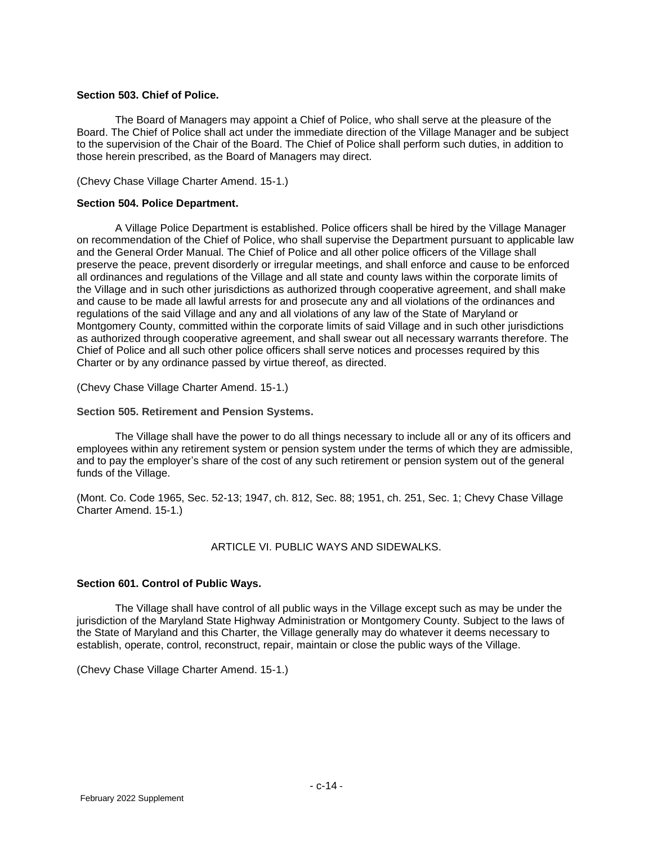### **Section 503. Chief of Police.**

The Board of Managers may appoint a Chief of Police, who shall serve at the pleasure of the Board. The Chief of Police shall act under the immediate direction of the Village Manager and be subject to the supervision of the Chair of the Board. The Chief of Police shall perform such duties, in addition to those herein prescribed, as the Board of Managers may direct.

(Chevy Chase Village Charter Amend. 15-1.)

### **Section 504. Police Department.**

A Village Police Department is established. Police officers shall be hired by the Village Manager on recommendation of the Chief of Police, who shall supervise the Department pursuant to applicable law and the General Order Manual. The Chief of Police and all other police officers of the Village shall preserve the peace, prevent disorderly or irregular meetings, and shall enforce and cause to be enforced all ordinances and regulations of the Village and all state and county laws within the corporate limits of the Village and in such other jurisdictions as authorized through cooperative agreement, and shall make and cause to be made all lawful arrests for and prosecute any and all violations of the ordinances and regulations of the said Village and any and all violations of any law of the State of Maryland or Montgomery County, committed within the corporate limits of said Village and in such other jurisdictions as authorized through cooperative agreement, and shall swear out all necessary warrants therefore. The Chief of Police and all such other police officers shall serve notices and processes required by this Charter or by any ordinance passed by virtue thereof, as directed.

(Chevy Chase Village Charter Amend. 15-1.)

#### **Section 505. Retirement and Pension Systems.**

The Village shall have the power to do all things necessary to include all or any of its officers and employees within any retirement system or pension system under the terms of which they are admissible, and to pay the employer's share of the cost of any such retirement or pension system out of the general funds of the Village.

(Mont. Co. Code 1965, Sec. 52-13; 1947, ch. 812, Sec. 88; 1951, ch. 251, Sec. 1; Chevy Chase Village Charter Amend. 15-1.)

# ARTICLE VI. PUBLIC WAYS AND SIDEWALKS.

# **Section 601. Control of Public Ways.**

The Village shall have control of all public ways in the Village except such as may be under the jurisdiction of the Maryland State Highway Administration or Montgomery County. Subject to the laws of the State of Maryland and this Charter, the Village generally may do whatever it deems necessary to establish, operate, control, reconstruct, repair, maintain or close the public ways of the Village.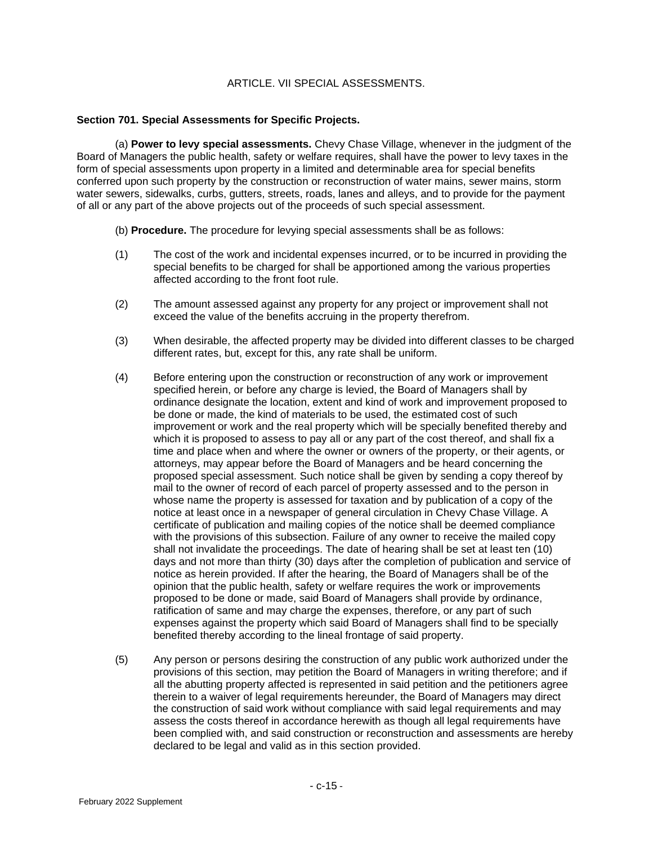# ARTICLE. VII SPECIAL ASSESSMENTS.

### **Section 701. Special Assessments for Specific Projects.**

(a) **Power to levy special assessments.** Chevy Chase Village, whenever in the judgment of the Board of Managers the public health, safety or welfare requires, shall have the power to levy taxes in the form of special assessments upon property in a limited and determinable area for special benefits conferred upon such property by the construction or reconstruction of water mains, sewer mains, storm water sewers, sidewalks, curbs, gutters, streets, roads, lanes and alleys, and to provide for the payment of all or any part of the above projects out of the proceeds of such special assessment.

- (b) **Procedure.** The procedure for levying special assessments shall be as follows:
- (1) The cost of the work and incidental expenses incurred, or to be incurred in providing the special benefits to be charged for shall be apportioned among the various properties affected according to the front foot rule.
- (2) The amount assessed against any property for any project or improvement shall not exceed the value of the benefits accruing in the property therefrom.
- (3) When desirable, the affected property may be divided into different classes to be charged different rates, but, except for this, any rate shall be uniform.
- (4) Before entering upon the construction or reconstruction of any work or improvement specified herein, or before any charge is levied, the Board of Managers shall by ordinance designate the location, extent and kind of work and improvement proposed to be done or made, the kind of materials to be used, the estimated cost of such improvement or work and the real property which will be specially benefited thereby and which it is proposed to assess to pay all or any part of the cost thereof, and shall fix a time and place when and where the owner or owners of the property, or their agents, or attorneys, may appear before the Board of Managers and be heard concerning the proposed special assessment. Such notice shall be given by sending a copy thereof by mail to the owner of record of each parcel of property assessed and to the person in whose name the property is assessed for taxation and by publication of a copy of the notice at least once in a newspaper of general circulation in Chevy Chase Village. A certificate of publication and mailing copies of the notice shall be deemed compliance with the provisions of this subsection. Failure of any owner to receive the mailed copy shall not invalidate the proceedings. The date of hearing shall be set at least ten (10) days and not more than thirty (30) days after the completion of publication and service of notice as herein provided. If after the hearing, the Board of Managers shall be of the opinion that the public health, safety or welfare requires the work or improvements proposed to be done or made, said Board of Managers shall provide by ordinance, ratification of same and may charge the expenses, therefore, or any part of such expenses against the property which said Board of Managers shall find to be specially benefited thereby according to the lineal frontage of said property.
- (5) Any person or persons desiring the construction of any public work authorized under the provisions of this section, may petition the Board of Managers in writing therefore; and if all the abutting property affected is represented in said petition and the petitioners agree therein to a waiver of legal requirements hereunder, the Board of Managers may direct the construction of said work without compliance with said legal requirements and may assess the costs thereof in accordance herewith as though all legal requirements have been complied with, and said construction or reconstruction and assessments are hereby declared to be legal and valid as in this section provided.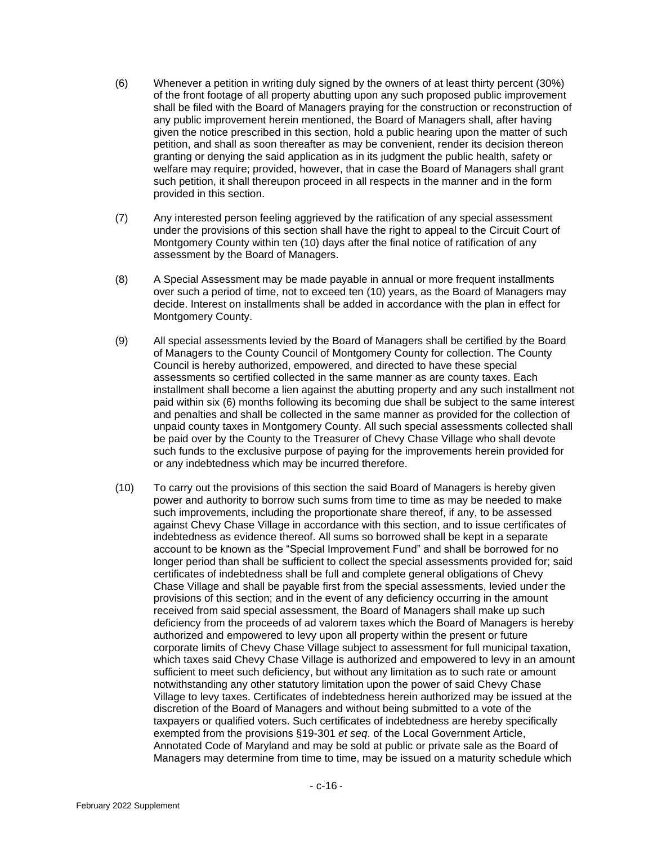- (6) Whenever a petition in writing duly signed by the owners of at least thirty percent (30%) of the front footage of all property abutting upon any such proposed public improvement shall be filed with the Board of Managers praying for the construction or reconstruction of any public improvement herein mentioned, the Board of Managers shall, after having given the notice prescribed in this section, hold a public hearing upon the matter of such petition, and shall as soon thereafter as may be convenient, render its decision thereon granting or denying the said application as in its judgment the public health, safety or welfare may require; provided, however, that in case the Board of Managers shall grant such petition, it shall thereupon proceed in all respects in the manner and in the form provided in this section.
- (7) Any interested person feeling aggrieved by the ratification of any special assessment under the provisions of this section shall have the right to appeal to the Circuit Court of Montgomery County within ten (10) days after the final notice of ratification of any assessment by the Board of Managers.
- (8) A Special Assessment may be made payable in annual or more frequent installments over such a period of time, not to exceed ten (10) years, as the Board of Managers may decide. Interest on installments shall be added in accordance with the plan in effect for Montgomery County.
- (9) All special assessments levied by the Board of Managers shall be certified by the Board of Managers to the County Council of Montgomery County for collection. The County Council is hereby authorized, empowered, and directed to have these special assessments so certified collected in the same manner as are county taxes. Each installment shall become a lien against the abutting property and any such installment not paid within six (6) months following its becoming due shall be subject to the same interest and penalties and shall be collected in the same manner as provided for the collection of unpaid county taxes in Montgomery County. All such special assessments collected shall be paid over by the County to the Treasurer of Chevy Chase Village who shall devote such funds to the exclusive purpose of paying for the improvements herein provided for or any indebtedness which may be incurred therefore.
- (10) To carry out the provisions of this section the said Board of Managers is hereby given power and authority to borrow such sums from time to time as may be needed to make such improvements, including the proportionate share thereof, if any, to be assessed against Chevy Chase Village in accordance with this section, and to issue certificates of indebtedness as evidence thereof. All sums so borrowed shall be kept in a separate account to be known as the "Special Improvement Fund" and shall be borrowed for no longer period than shall be sufficient to collect the special assessments provided for; said certificates of indebtedness shall be full and complete general obligations of Chevy Chase Village and shall be payable first from the special assessments, levied under the provisions of this section; and in the event of any deficiency occurring in the amount received from said special assessment, the Board of Managers shall make up such deficiency from the proceeds of ad valorem taxes which the Board of Managers is hereby authorized and empowered to levy upon all property within the present or future corporate limits of Chevy Chase Village subject to assessment for full municipal taxation, which taxes said Chevy Chase Village is authorized and empowered to levy in an amount sufficient to meet such deficiency, but without any limitation as to such rate or amount notwithstanding any other statutory limitation upon the power of said Chevy Chase Village to levy taxes. Certificates of indebtedness herein authorized may be issued at the discretion of the Board of Managers and without being submitted to a vote of the taxpayers or qualified voters. Such certificates of indebtedness are hereby specifically exempted from the provisions §19-301 *et seq*. of the Local Government Article, Annotated Code of Maryland and may be sold at public or private sale as the Board of Managers may determine from time to time, may be issued on a maturity schedule which